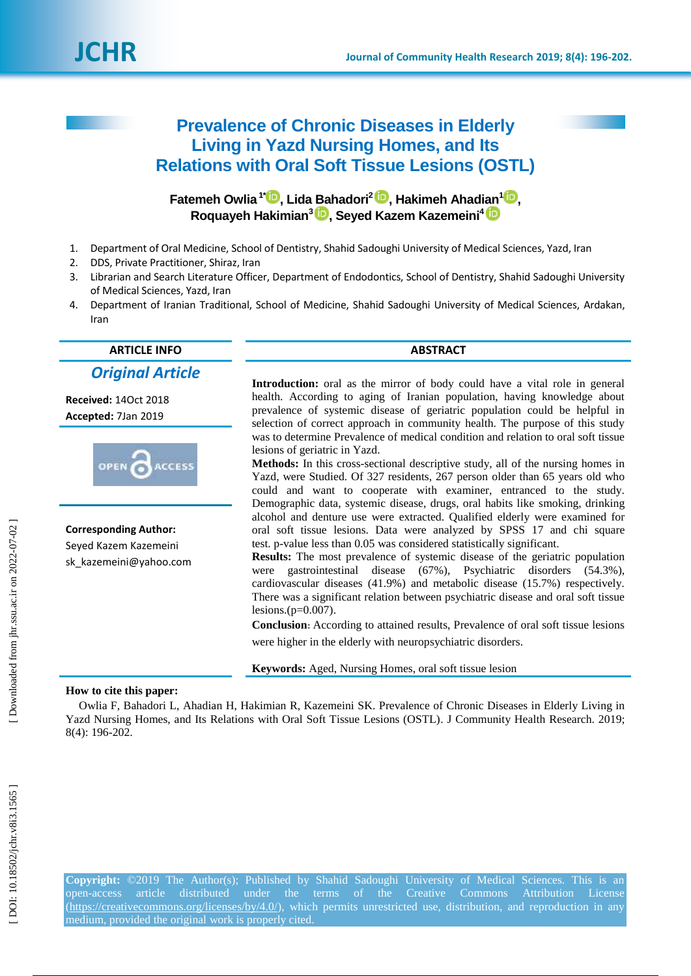

# **Prevalence of Chronic Diseases in Elderly**  Living in Yazd Nursing Homes, and Its **Relations with Oral Soft Tissue Lesions (OSTL)**

**Fatemeh Owlia 1 [\\*](https://orcid.org/0000-0001-5869-9238) , Lida Bahadori2, Hakimeh Ahadian [1](https://orcid.org/0000-0002-2947-4344) ,** Roquayeh Hakimian<sup>3</sup> D, Seyed Kazem Kazemeini<sup>4</sup>

- 1 . Department of Oral Medicine, School of Dentistry, Shahid Sadoughi University of Medical Sciences, Yazd, Iran
- $2.$ . DDS, Private Practitioner, Shiraz, Iran
- 3. . Librarian and Search Literature Officer, Department of Endodontics, School of Dentistry, Shahid Sadoughi University of Medical Sciences, Yazd, Iran
- 4 . Department of Iranian Traditional, School of Medicine, Shahid Sadoughi University of Medical Sciences, Ardakan, Iran

**ARTICLE INFO ABSTRACT**

*Original Article*

**Received:**  1 4Oct 2018 **Accepted:** 7Jan 201 9



**Corresponding Author:** Seyed Kazem Kazemeini

sk\_kazemeini@yahoo.com

**Introduction:** oral as the mirror of body could have a vital role in general health. According to aging of Iranian population, having knowledge about prevalence of systemic disease of geriatric population could be helpful in selection of correct approach in community health. The purpose of this study was to determine Prevalence of medical condition and relation to oral soft tissue lesions of geriatric in Yazd.

**Methods:** In this cross -sectional descriptive study, all of the nursing homes in Yazd, were Studied. Of 327 residents, 267 person older than 65 years old who could and want to cooperate with examiner, entranced to the study. Demographic data, systemic disease, drugs, oral habits like smoking, drinking alcohol and denture use were extracted. Qualified elderly were examined for oral soft tissue lesions. Data were analyzed by SPSS 17 and chi square test. p -value less than 0.05 was considered statistically significant.

**Results:** The most prevalence of systemic disease of the geriatric population were gastrointestinal disease (67%), Psychiatric disorders (54.3%), cardiovascular diseases (41.9%) and metabolic disease (15.7%) respectively. There was a significant relation between psychiatric disease and oral soft tissue lesions.(p=0.007) .

**Conclusion :** According to attained results, Prevalence of oral soft tissue lesions were higher in the elderly with neuropsychiatric disorders.

**Keywords:** Aged, Nursing Homes, oral soft tissue lesion

#### **How to cite this paper:**

Owlia F, Bahadori L, Ahadian H, Hakimian R, Kazemeini SK. Prevalence of Chronic Diseases in Elderly Living in Yazd Nursing Homes, and Its Relations with Oral Soft Tissue Lesions (OSTL). J Community Health Research. 2019; 8( 4): 196 -202.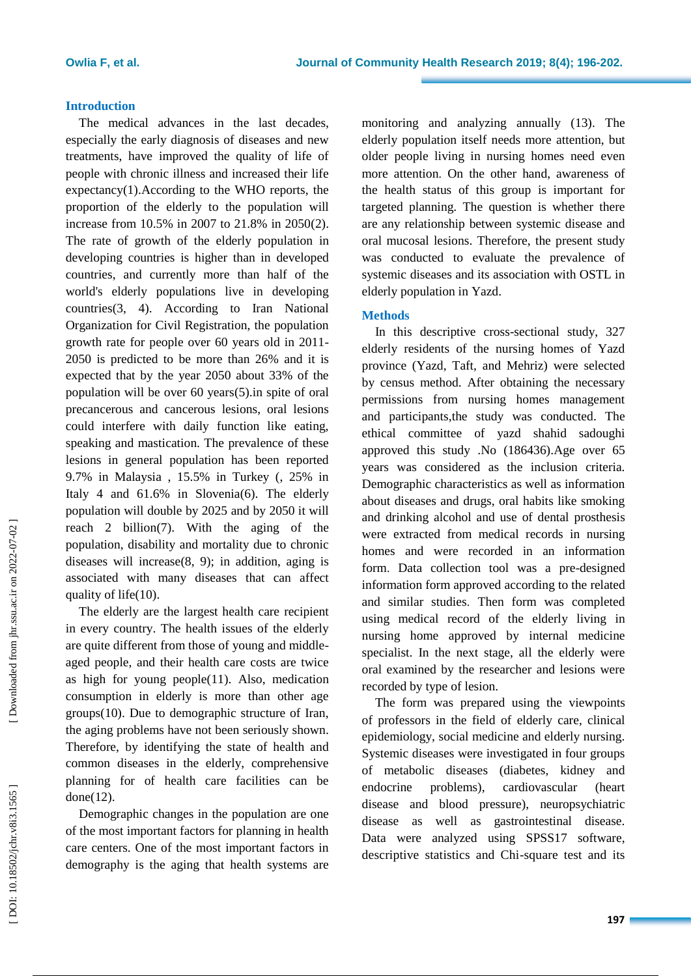# **Introduction**

The medical advances in the last decades, especially the early diagnosis of diseases and new treatments, have improved the quality of life of people with chronic illness and increased their life expectancy ( 1 ).According to the WHO reports, the proportion of the elderly to the population will increase from 10.5% in 2007 to 21.8% in 2050(2). The rate of growth of the elderly population in developing countries is higher than in developed countries, and currently more than half of the world's elderly populations live in developing countries ( 3, 4 ). According to Iran National Organization for Civil Registration, the population growth rate for people over 60 years old in 2011 - 2050 is predicted to be more than 26% and it is expected that by the year 2050 about 33% of the population will be over 60 years ( 5 ).in spite of oral precancerous and cancerous lesions, oral lesions could interfere with daily function like eating, speaking and mastication. The prevalence of these lesions in general population has been reported 9.7% in Malaysia , 15.5% in Turkey (, 25% in Italy 4 and 61.6% in Slovenia(6). The elderly population will double by 2025 and by 2050 it will reach 2 billion ( 7 ) . With the aging of the population, disability and mortality due to chronic diseases will increase $(8, 9)$ ; in addition, aging is associated with many diseases that can affect quality of life(10).

The elderly are the largest health care recipient in every country. The health issues of the elderly are quite different from those of young and middle aged people, and their health care costs are twice as high for young people (11 ). Also, medication consumption in elderly is more than other age groups (10 ). Due to demographic structure of Iran, the aging problems have not been seriously shown. Therefore, by identifying the state of health and common diseases in the elderly, comprehensive planning for of health care facilities can be done(12).

Demographic changes in the population are one of the most important factors for planning in health care centers. One of the most important factors in demography is the aging that health systems are

monitoring and analyzing annually (13 ). The elderly population itself needs more attention, but older people living in nursing homes need even more attention . On the other hand, awareness of the health status of this group is important for targeted planning. The question is whether there are any relationship between systemic disease and oral mucosal lesions. Therefore, the present study was conducted to evaluate the prevalence of systemic diseases and its association with OSTL in elderly population in Yazd.

# **Methods**

In this descriptive cross -sectional study, 327 elderly residents of the nursing homes of Yazd province (Yazd, Taft, and Mehriz) were selected by census method. After obtaining the necessary permissions from nursing homes management and participants, the study was conducted. The ethical committee of yazd shahid sadoughi approved this study .No (186436) .Age over 65 years was considered as the inclusion criteria. Demographic characteristics as well as information about diseases and drugs, oral habits like smoking and drinking alcohol and use of dental prosthesis were extracted from medical records in nursing homes and were recorded in an information form . Data collection tool was a pre -designed information form approved according to the related and similar studies . Then form was completed using medical record of the elderly living in nursing home approved by internal medicine specialist. In the next stage, all the elderly were oral examined by the researcher and lesions were recorded by type of lesion.

The form was prepared using the viewpoints of professors in the field of elderly care, clinical epidemiology, social medicine and elderly nursing. Systemic diseases were investigated in four groups of metabolic diseases (diabetes, kidney and endocrine problems), cardiovascular (heart disease and blood pressure), neuropsychiatric disease as well as gastrointestinal disease. Data were analyzed using SPSS17 software, descriptive statistics and Chi -square test and its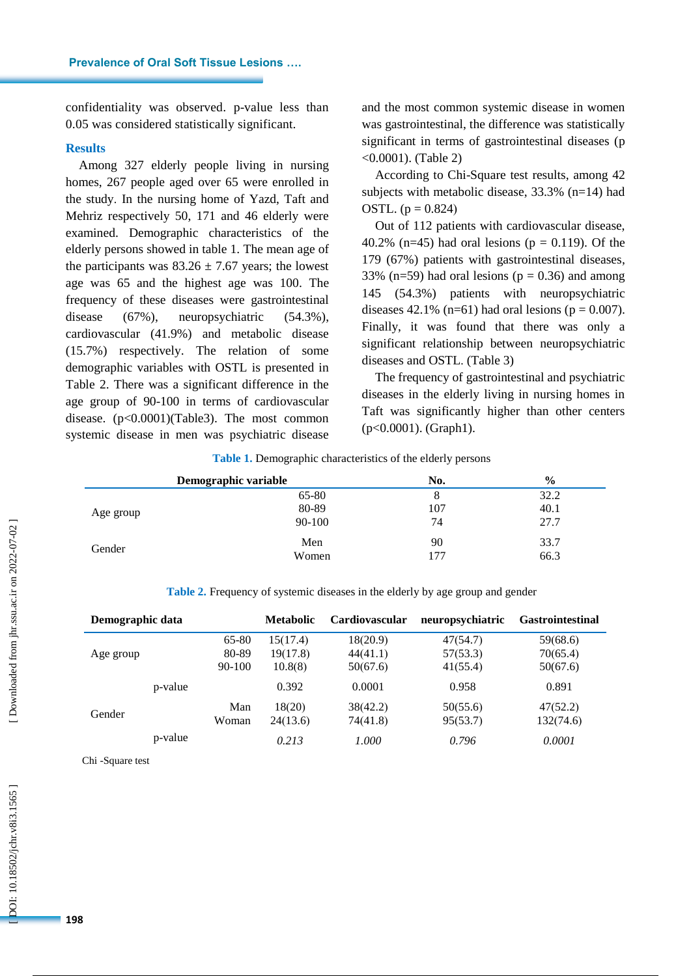confidentiality was observed. p -value less than 0.05 was considered statistically significant.

#### **Results**

Among 327 elderly people living in nursing homes, 267 people aged over 65 were enrolled in the study . In the nursing home of Yazd, Taft and Mehriz respectively 50, 171 and 46 elderly were examined. Demographic characteristics of the elderly persons showed in table 1. The mean age of the participants was  $83.26 \pm 7.67$  years; the lowest age was 65 and the highest age was 100. The frequency of these diseases were gastrointestinal disease (67%), neuropsychiatric (54.3%), cardiovascular (41.9%) and metabolic disease (15.7%) respectively . The relation of some demographic variables with OSTL is presented in Table 2 . There was a significant difference in the age group of 90 -100 in terms of cardiovascular disease. ( p<0.0001)(Table 3). The most common systemic disease in men was psychiatric disease

and the most common systemic disease in women was gastrointestinal, the difference was statistically significant in terms of gastrointestinal diseases ( p <0.0001). (Table 2)

According to Chi -Square test results, among 42 subjects with metabolic disease, 33.3% (n=14) had OSTL.  $(p = 0.824)$ 

Out of 112 patients with cardiovascular disease, 40.2% (n=45) had oral lesions ( $p = 0.119$ ). Of the 179 (67%) patients with gastrointestinal diseases, 33% (n=59) had oral lesions ( $p = 0.36$ ) and among 145 (54.3%) patients with neuropsychiatric diseases 42.1% (n=61) had oral lesions ( $p = 0.007$ ). Finally, it was found that there was only a significant relationship between neuropsychiatric diseases and OSTL . (Table 3)

The frequency of gastrointestinal and psychiatric diseases in the elderly living in nursing homes in Taft was significantly higher than other centers  $(p<0.0001)$ . (Graph1).

|           | Demographic variable | No. | $\frac{6}{6}$ |
|-----------|----------------------|-----|---------------|
|           | 65-80                | 8   | 32.2          |
| Age group | 80-89                | 107 | 40.1          |
|           | 90-100               | 74  | 27.7          |
| Gender    | Men                  | 90  | 33.7          |
|           | Women                | 177 | 66.3          |

**Table 1.** Demographic characteristics of the elderly persons

**Table 2.** Frequency of systemic diseases in the elderly by age group and gender

| Demographic data |         | <b>Metabolic</b> | <b>Cardiovascular</b> | neuropsychiatric | <b>Gastrointestinal</b> |           |
|------------------|---------|------------------|-----------------------|------------------|-------------------------|-----------|
|                  |         | 65-80            | 15(17.4)              | 18(20.9)         | 47(54.7)                | 59(68.6)  |
| Age group        |         | 80-89            | 19(17.8)              | 44(41.1)         | 57(53.3)                | 70(65.4)  |
|                  |         | 90-100           | 10.8(8)               | 50(67.6)         | 41(55.4)                | 50(67.6)  |
|                  | p-value |                  | 0.392                 | 0.0001           | 0.958                   | 0.891     |
| Gender           |         | Man              | 18(20)                | 38(42.2)         | 50(55.6)                | 47(52.2)  |
|                  |         | Woman            | 24(13.6)              | 74(41.8)         | 95(53.7)                | 132(74.6) |
|                  | p-value |                  | 0.213                 | 1.000            | 0.796                   | 0.0001    |

Chi -Square test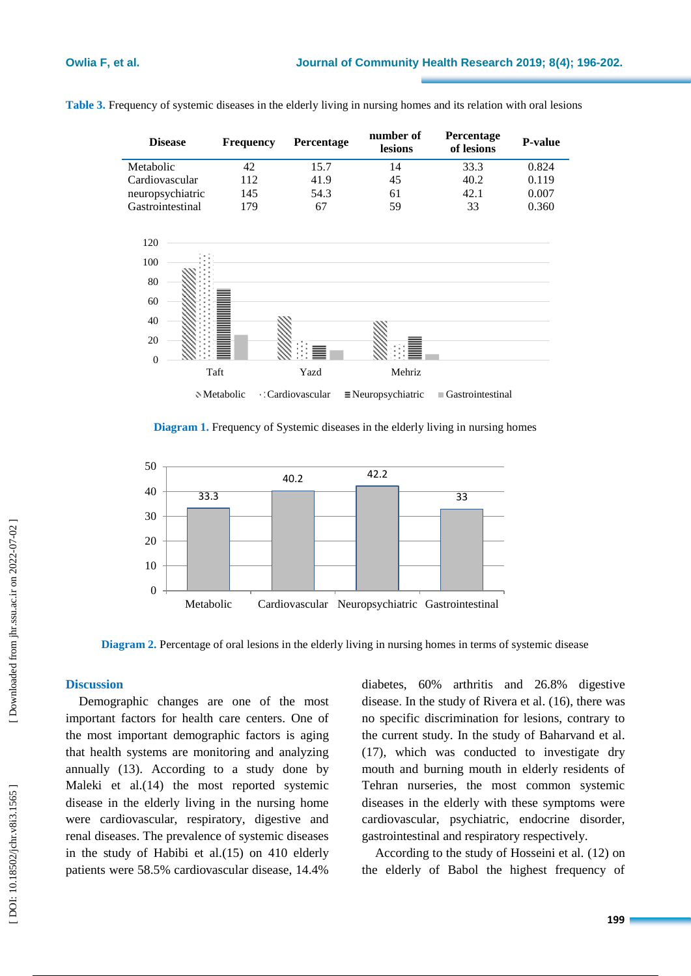| <b>Disease</b>   | <b>Frequency</b> | <b>Percentage</b> | number of<br>lesions | <b>Percentage</b><br>of lesions | <b>P-value</b> |
|------------------|------------------|-------------------|----------------------|---------------------------------|----------------|
| Metabolic        | 42               | 15.7              | 14                   | 33.3                            | 0.824          |
| Cardiovascular   | 112              | 41.9              | 45                   | 40.2                            | 0.119          |
| neuropsychiatric | 145              | 54.3              | 61                   | 42.1                            | 0.007          |
| Gastrointestinal | 179              | 67                | 59                   | 33                              | 0.360          |





**Diagram 1.** Frequency of Systemic diseases in the elderly living in nursing homes



**Diagram 2.** Percentage of oral lesions in the elderly living in nursing homes in terms of systemic disease

# **Discussion**

Demographic changes are one of the most important factors for health care centers. One of the most important demographic factors is aging that health systems are monitoring and analyzing annually (13 ). According to a study done by Maleki et al. (14 ) the most reported systemic disease in the elderly living in the nursing home were cardiovascular, respiratory, digestive and renal diseases. The prevalence of systemic diseases in the study of Habibi et al. (15 ) on 410 elderly patients were 58.5% cardiovascular disease, 14.4%

diabetes, 60% arthritis and 26.8% digestive disease . In the study of Rivera et al. (16 ), there was no specific discrimination for lesions, contrary to the current study. In the study of Baharvand et al. (17), which was conducted to investigate dry mouth and burning mouth in elderly residents of Tehran nurseries, the most common systemic diseases in the elderly with these symptoms were cardiovascular, psychiatric, endocrine disorder, gastrointestinal and respiratory respectively .

According to the study of Hosseini et al. (12 ) on the elderly of Babol the highest frequency of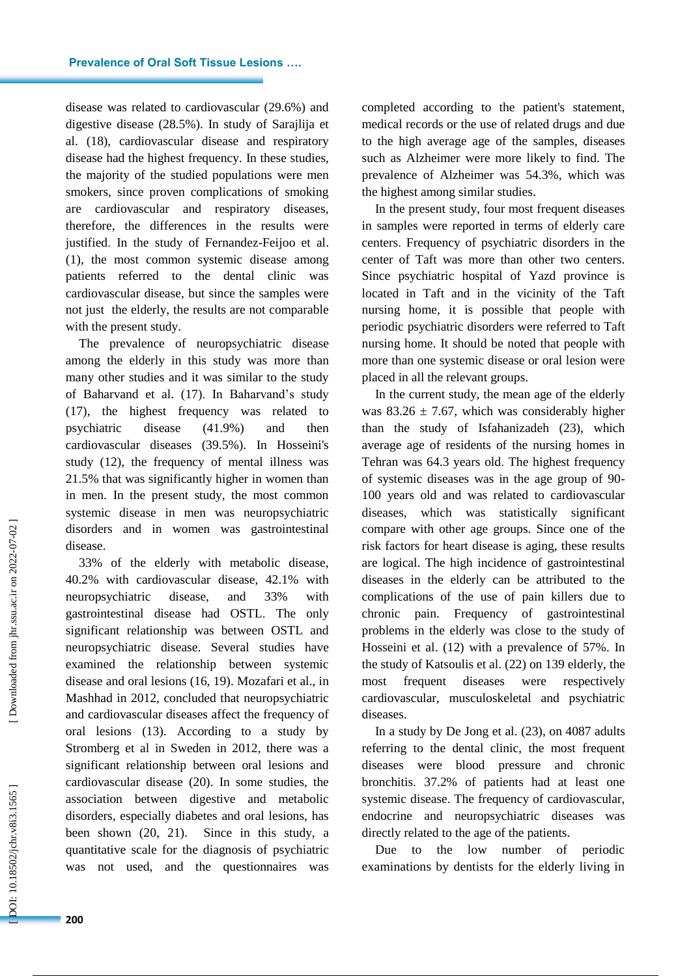disease was related to cardiovascular (29.6%) and digestive disease (28.5%). In study of Sarajlija et al. (18 ), cardiovascular disease and respiratory disease had the highest frequency. In these studies, the majority of the studied populations were men smokers, since proven complications of smoking are cardiovascular and respiratory diseases, therefore, the differences in the results were justified . In the study of Fernandez -Feijoo et al. ( 1 ), the most common systemic disease among patients referred to the dental clinic was cardiovascular disease, but since the samples were not just the elderly, the results are not comparable with the present study.

The prevalence of neuropsychiatric disease among the elderly in this study was more than many other studies and it was similar to the study of Baharvand et al. (17 ). In Baharvand's study (17 ), the highest frequency was related to psychiatric disease (41.9%) and then cardiovascular diseases (39.5%). In Hosseini's study (12 ), the frequency of mental illness was 21.5% that was significantly higher in women than in men. In the present study, the most common systemic disease in men was neuropsychiatric disorders and in women was gastrointestinal disease.

33% of the elderly with metabolic disease, 40.2% with cardiovascular disease, 42.1% with neuropsychiatric disease, and 33% with gastrointestinal disease had OSTL . The only significant relationship was between OSTL and neuropsychiatric disease. Several studies have examined the relationship between systemic disease and oral lesions (16, 19 ) . Mozafari et al., in Mashhad in 2012, concluded that neuropsychiatric and cardiovascular diseases affect the frequency of oral lesions (13 ). According to a study by Stromberg et al in Sweden in 2012, there was a significant relationship between oral lesions and cardiovascular disease (20 ). In some studies, the association between digestive and metabolic disorders, especially diabetes and oral lesions, has been shown (20, 21 ) . Since in this study, a quantitative scale for the diagnosis of psychiatric was not used, and the questionnaires was

completed according to the patient's statement, medical records or the use of related drugs and due to the high average age of the samples, diseases such as Alzheimer were more likely to find. The prevalence of Alzheimer was 54.3%, which was the highest among similar studies.

In the present study, four most frequent diseases in samples were reported in terms of elderly care centers . Frequency of psychiatric disorders in the center of Taft was more than other two centers. Since psychiatric hospital of Yazd province is located in Taft and in the vicinity of the Taft nursing home, it is possible that people with periodic psychiatric disorders were referred to Taft nursing home. It should be noted that people with more than one systemic disease or oral lesion were placed in all the relevant groups.

In the current study, the mean age of the elderly was  $83.26 \pm 7.67$ , which was considerably higher than the study of Isfahanizadeh (23), which average age of residents of the nursing homes in Tehran was 64.3 years old . The highest frequency of systemic diseases was in the age group of 90 - 100 years old and was related to cardiovascular diseases, which was statistically significant compare with other age groups. Since one of the risk factors for heart disease is aging, these results are logical. The high incidence of gastrointestinal diseases in the elderly can be attributed to the complications of the use of pain killers due to chronic pain. Frequency of gastrointestinal problems in the elderly was close to the study of Hosseini et al. (12 ) with a prevalence of 57%. In the study of Katsoulis et al. (22 ) on 139 elderly, the most frequent diseases were respectively cardiovascular, musculoskeletal and psychiatric diseases.

In a study by De Jong et al. (23 ), on 4087 adults referring to the dental clinic, the most frequent diseases were blood pressure and chronic bronchitis . 37.2% of patients had at least one systemic disease. The frequency of cardiovascular, endocrine and neuropsychiatric diseases was directly related to the age of the patients.

Due to the low number of periodic examinations by dentists for the elderly living in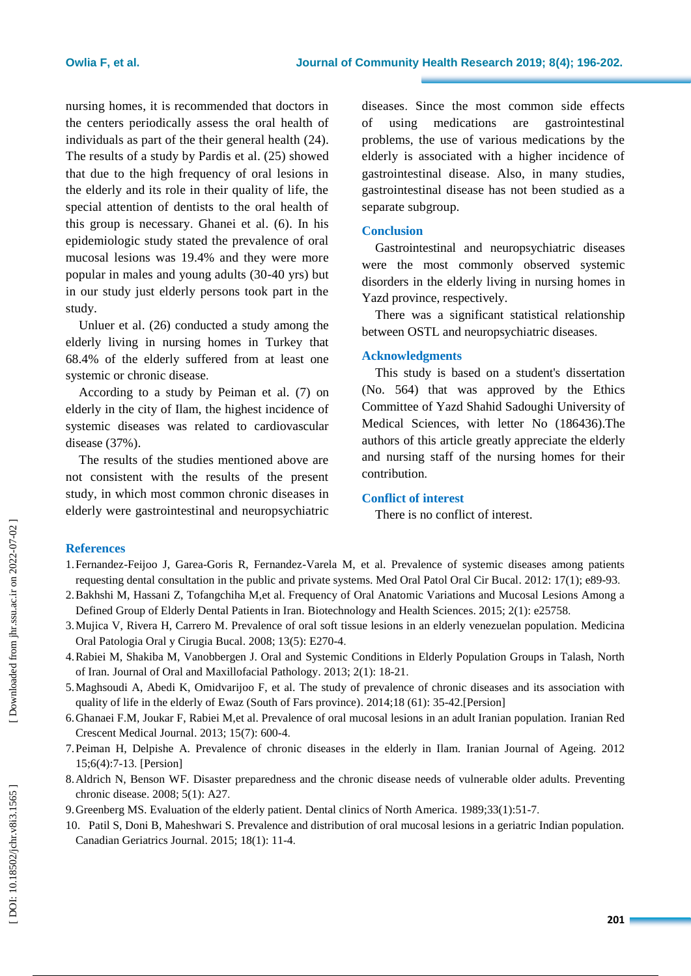nursing homes, it is recommended that doctors in the centers periodically assess the oral health of individuals as part of the their general health (24 ). The results of a study by Pardis et al. (25 ) showed that due to the high frequency of oral lesions in the elderly and its role in their quality of life, the special attention of dentists to the oral health of this group is necessary . Ghanei et al. ( 6 ). In his epidemiologic study stated the prevalence of oral mucosal lesions was 19.4% and they were more popular in males and young adults (30 -40 yrs) but in our study just elderly persons took part in the study.

Unluer et al. (26 ) conducted a study among the elderly living in nursing homes in Turkey that 68.4% of the elderly suffered from at least one systemic or chronic disease .

According to a study by Peiman et al. ( 7 ) on elderly in the city of Ilam, the highest incidence of systemic diseases was related to cardiovascular disease (37%).

The results of the studies mentioned above are not consistent with the results of the present study, in which most common chronic diseases in elderly were gastrointestinal and neuropsychiatric

diseases . Since the most common side effects of using medications are gastrointestinal problems, the use of various medications by the elderly is associated with a higher incidence of gastrointestinal disease. Also, in many studies, gastrointestinal disease has not been studied as a separate subgroup.

#### **Conclusion**

Gastrointestinal and neuropsychiatric diseases were the most commonly observed systemic disorders in the elderly living in nursing homes in Yazd province, respectively.

There was a significant statistical relationship between OSTL and neuropsychiatric diseases .

### **Acknowledgments**

This study is based on a student's dissertation (No. 564) that was approved by the Ethics Committee of Yazd Shahid Sadoughi University of Medical Sciences, with letter No (186436) .The authors of this article greatly appreciate the elderly and nursing staff of the nursing homes for their contribution .

# **Conflict of interest**

There is no conflict of interest.

# **References**

- 1.Fernandez-Feijoo J, Garea -Goris R, Fernandez -Varela M, et al. Prevalence of systemic diseases among patients requesting dental consultation in the public and private systems. Med Oral Patol Oral Cir Bucal. 2012: 17(1); e89-93.
- 2 .Bakhshi M, Hassani Z, Tofangchiha M,et al. Frequency of Oral Anatomic Variations and Mucosal Lesions Among a Defined Group of Elderly Dental Patients in Iran. Biotechnology and Health Sciences . 2015; 2(1): e25758 .
- 3 .Mujica V, Rivera H, Carrero M . Prevalence of oral soft tissue lesions in an elderly venezuelan population. Medicina Oral Patologia Oral y Cirugia Bucal. 2008; 13(5): E270-4.
- 4 .Rabiei M, Shakiba M, Vanobbergen J. Oral and Systemic Conditions in Elderly Population Groups in Talash, North of Iran. Journal of Oral and Maxillofacial Pathology . 2013; 2(1): 18 -21 .
- 5 .Maghsoudi A, Abedi K, Omidvarijoo F, et al. The study of prevalence of chronic diseases and its association with quality of life in the elderly of Ewaz (South of Fars province) . 2014;18 (61): 35 -42.[Persion]
- 6 .Ghanaei F.M, Joukar F, Rabiei M,et al. Prevalence of oral mucosal lesions in an adult Iranian population. Iranian Red Crescent Medical Journal . 2013; 15(7): 600 - 4 .
- 7 .Peiman H, Delpishe A. Prevalence of chronic diseases in the elderly in Ilam. Iranian Journal of Ageing. 2012 15;6(4):7 -13 . [Persion]
- 8 .Aldrich N, Benson WF. Disaster preparedness and the chronic disease needs of vulnerable older adults. Preventing chronic disease . 2008; 5(1): A27 .
- 9. Greenberg MS. Evaluation of the elderly patient. Dental clinics of North America. 1989;33(1):51-7.
- 10 . Patil S, Doni B, Maheshwari S. Prevalence and distribution of oral mucosal lesions in a geriatric Indian population. Canadian Geriatrics Journal. 2015; 18(1): 11-4.